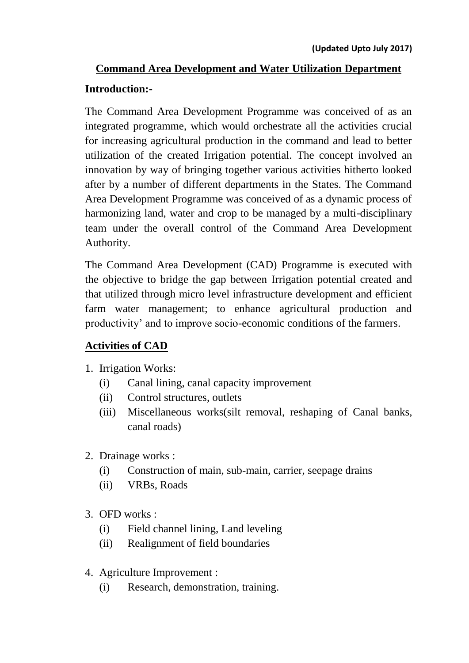# **Command Area Development and Water Utilization Department Introduction:-**

The Command Area Development Programme was conceived of as an integrated programme, which would orchestrate all the activities crucial for increasing agricultural production in the command and lead to better utilization of the created Irrigation potential. The concept involved an innovation by way of bringing together various activities hitherto looked after by a number of different departments in the States. The Command Area Development Programme was conceived of as a dynamic process of harmonizing land, water and crop to be managed by a multi-disciplinary team under the overall control of the Command Area Development Authority.

The Command Area Development (CAD) Programme is executed with the objective to bridge the gap between Irrigation potential created and that utilized through micro level infrastructure development and efficient farm water management; to enhance agricultural production and productivity' and to improve socio-economic conditions of the farmers.

#### **Activities of CAD**

- 1. Irrigation Works:
	- (i) Canal lining, canal capacity improvement
	- (ii) Control structures, outlets
	- (iii) Miscellaneous works(silt removal, reshaping of Canal banks, canal roads)
- 2. Drainage works :
	- (i) Construction of main, sub-main, carrier, seepage drains
	- (ii) VRBs, Roads
- 3. OFD works :
	- (i) Field channel lining, Land leveling
	- (ii) Realignment of field boundaries
- 4. Agriculture Improvement :
	- (i) Research, demonstration, training.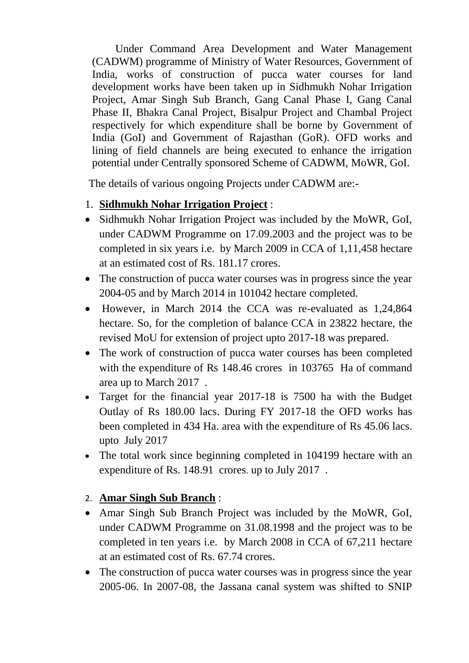Under Command Area Development and Water Management (CADWM) programme of Ministry of Water Resources, Government of India, works of construction of pucca water courses for land development works have been taken up in Sidhmukh Nohar Irrigation Project, Amar Singh Sub Branch, Gang Canal Phase I, Gang Canal Phase II, Bhakra Canal Project, Bisalpur Project and Chambal Project respectively for which expenditure shall be borne by Government of India (GoI) and Government of Rajasthan (GoR). OFD works and lining of field channels are being executed to enhance the irrigation potential under Centrally sponsored Scheme of CADWM, MoWR, GoI.

The details of various ongoing Projects under CADWM are:-

### 1. **Sidhmukh Nohar Irrigation Project** :

- Sidhmukh Nohar Irrigation Project was included by the MoWR, GoI, under CADWM Programme on 17.09.2003 and the project was to be completed in six years i.e. by March 2009 in CCA of 1,11,458 hectare at an estimated cost of Rs. 181.17 crores.
- The construction of pucca water courses was in progress since the year 2004-05 and by March 2014 in 101042 hectare completed.
- However, in March 2014 the CCA was re-evaluated as 1,24,864 hectare. So, for the completion of balance CCA in 23822 hectare, the revised MoU for extension of project upto 2017-18 was prepared.
- The work of construction of pucca water courses has been completed with the expenditure of Rs 148.46 crores in 103765 Ha of command area up to March 2017 .
- Target for the financial year 2017-18 is 7500 ha with the Budget Outlay of Rs 180.00 lacs. During FY 2017-18 the OFD works has been completed in 434 Ha. area with the expenditure of Rs 45.06 lacs. upto July 2017
- The total work since beginning completed in 104199 hectare with an expenditure of Rs. 148.91 crores. up to July 2017 .

# 2. **Amar Singh Sub Branch** :

- Amar Singh Sub Branch Project was included by the MoWR, GoI, under CADWM Programme on 31.08.1998 and the project was to be completed in ten years i.e. by March 2008 in CCA of 67,211 hectare at an estimated cost of Rs. 67.74 crores.
- The construction of pucca water courses was in progress since the year 2005-06. In 2007-08, the Jassana canal system was shifted to SNIP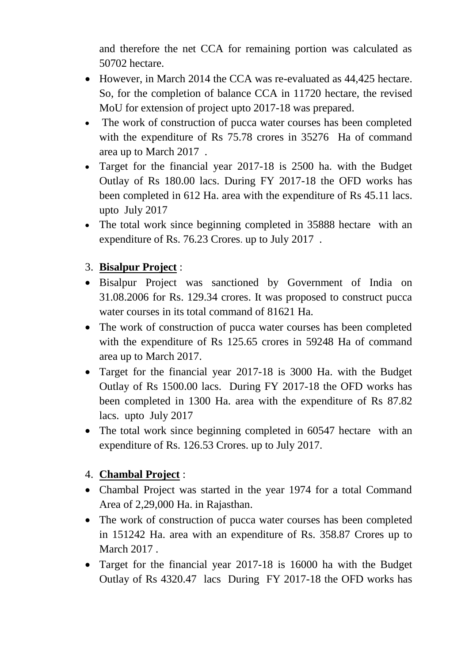and therefore the net CCA for remaining portion was calculated as 50702 hectare.

- However, in March 2014 the CCA was re-evaluated as 44,425 hectare. So, for the completion of balance CCA in 11720 hectare, the revised MoU for extension of project upto 2017-18 was prepared.
- The work of construction of pucca water courses has been completed with the expenditure of Rs 75.78 crores in 35276 Ha of command area up to March 2017 .
- Target for the financial year 2017-18 is 2500 ha. with the Budget Outlay of Rs 180.00 lacs. During FY 2017-18 the OFD works has been completed in 612 Ha. area with the expenditure of Rs 45.11 lacs. upto July 2017
- The total work since beginning completed in 35888 hectare with an expenditure of Rs. 76.23 Crores. up to July 2017 .

# 3. **Bisalpur Project** :

- Bisalpur Project was sanctioned by Government of India on 31.08.2006 for Rs. 129.34 crores. It was proposed to construct pucca water courses in its total command of 81621 Ha.
- The work of construction of pucca water courses has been completed with the expenditure of Rs 125.65 crores in 59248 Ha of command area up to March 2017.
- Target for the financial year 2017-18 is 3000 Ha. with the Budget Outlay of Rs 1500.00 lacs. During FY 2017-18 the OFD works has been completed in 1300 Ha. area with the expenditure of Rs 87.82 lacs. upto July 2017
- The total work since beginning completed in 60547 hectare with an expenditure of Rs. 126.53 Crores. up to July 2017.

# 4. **Chambal Project** :

- Chambal Project was started in the year 1974 for a total Command Area of 2,29,000 Ha. in Rajasthan.
- The work of construction of pucca water courses has been completed in 151242 Ha. area with an expenditure of Rs. 358.87 Crores up to March 2017 .
- Target for the financial year 2017-18 is 16000 ha with the Budget Outlay of Rs 4320.47 lacs During FY 2017-18 the OFD works has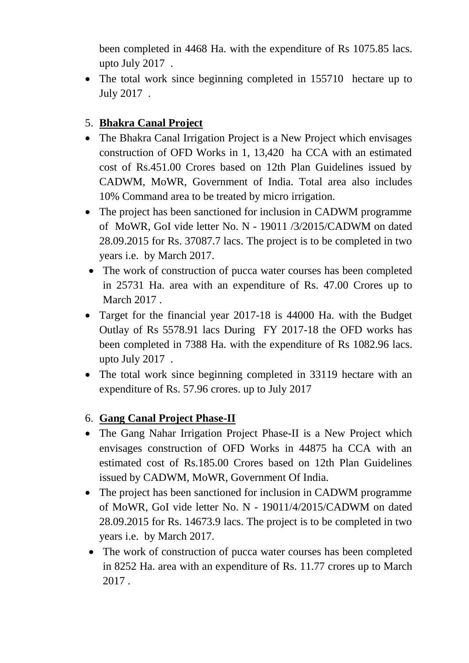been completed in 4468 Ha. with the expenditure of Rs 1075.85 lacs. upto July 2017 .

• The total work since beginning completed in 155710 hectare up to July 2017 .

# 5. **Bhakra Canal Project**

- The Bhakra Canal Irrigation Project is a New Project which envisages construction of OFD Works in 1, 13,420 ha CCA with an estimated cost of Rs.451.00 Crores based on 12th Plan Guidelines issued by CADWM, MoWR, Government of India. Total area also includes 10% Command area to be treated by micro irrigation.
- The project has been sanctioned for inclusion in CADWM programme of MoWR, GoI vide letter No. N - 19011 /3/2015/CADWM on dated 28.09.2015 for Rs. 37087.7 lacs. The project is to be completed in two years i.e. by March 2017.
- The work of construction of pucca water courses has been completed in 25731 Ha. area with an expenditure of Rs. 47.00 Crores up to March 2017 .
- Target for the financial year 2017-18 is 44000 Ha. with the Budget Outlay of Rs 5578.91 lacs During FY 2017-18 the OFD works has been completed in 7388 Ha. with the expenditure of Rs 1082.96 lacs. upto July 2017 .
- The total work since beginning completed in 33119 hectare with an expenditure of Rs. 57.96 crores. up to July 2017

#### 6. **Gang Canal Project Phase-II**

- The Gang Nahar Irrigation Project Phase-II is a New Project which envisages construction of OFD Works in 44875 ha CCA with an estimated cost of Rs.185.00 Crores based on 12th Plan Guidelines issued by CADWM, MoWR, Government Of India.
- The project has been sanctioned for inclusion in CADWM programme of MoWR, GoI vide letter No. N - 19011/4/2015/CADWM on dated 28.09.2015 for Rs. 14673.9 lacs. The project is to be completed in two years i.e. by March 2017.
- The work of construction of pucca water courses has been completed in 8252 Ha. area with an expenditure of Rs. 11.77 crores up to March 2017 .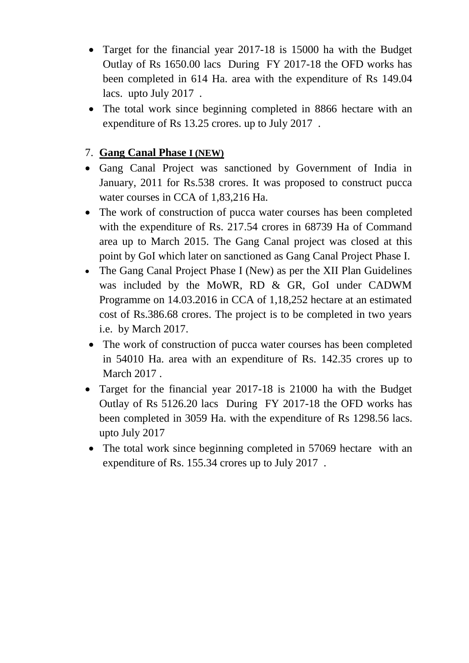- Target for the financial year 2017-18 is 15000 ha with the Budget Outlay of Rs 1650.00 lacs During FY 2017-18 the OFD works has been completed in 614 Ha. area with the expenditure of Rs 149.04 lacs. upto July 2017 .
- The total work since beginning completed in 8866 hectare with an expenditure of Rs 13.25 crores. up to July 2017 .

### 7. **Gang Canal Phase I (NEW)**

- Gang Canal Project was sanctioned by Government of India in January, 2011 for Rs.538 crores. It was proposed to construct pucca water courses in CCA of 1,83,216 Ha.
- The work of construction of pucca water courses has been completed with the expenditure of Rs. 217.54 crores in 68739 Ha of Command area up to March 2015. The Gang Canal project was closed at this point by GoI which later on sanctioned as Gang Canal Project Phase I.
- The Gang Canal Project Phase I (New) as per the XII Plan Guidelines was included by the MoWR, RD & GR, GoI under CADWM Programme on 14.03.2016 in CCA of 1,18,252 hectare at an estimated cost of Rs.386.68 crores. The project is to be completed in two years i.e. by March 2017.
- The work of construction of pucca water courses has been completed in 54010 Ha. area with an expenditure of Rs. 142.35 crores up to March 2017 .
- Target for the financial year 2017-18 is 21000 ha with the Budget Outlay of Rs 5126.20 lacs During FY 2017-18 the OFD works has been completed in 3059 Ha. with the expenditure of Rs 1298.56 lacs. upto July 2017
- The total work since beginning completed in 57069 hectare with an expenditure of Rs. 155.34 crores up to July 2017 .